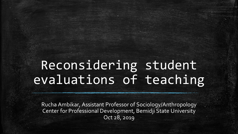# Reconsidering student evaluations of teaching

Rucha Ambikar, Assistant Professor of Sociology/Anthropology Center for Professional Development, Bemidji State University Oct 28, 2019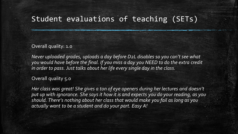# Student evaluations of teaching (SETs)

Overall quality: 1.0

*Never uploaded grades, uploads a day before D2L disables so you can't see what you would have before the final. If you miss a day you NEED to do the extra credit in order to pass. Just talks about her life every single day in the class.* 

Overall quality 5.0

*Her class was great! She gives a ton of eye openers during her lectures and doesn't put up with ignorance. She says it how it is and expects you do your reading, as you should. There's nothing about her class that would make you fail as long as you actually want to be a student and do your part. Easy A!*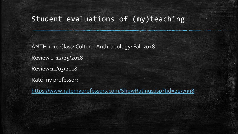# Student evaluations of (my)teaching

ANTH 1110 Class: Cultural Anthropology: Fall 2018 Review 1: 12/25/2018 Review:11/03/2018 Rate my professor:

<https://www.ratemyprofessors.com/ShowRatings.jsp?tid=2177998>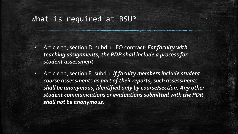#### What is required at BSU?

- Article 22, section D. subd.1. IFO contract: *For faculty with teaching assignments, the PDP shall include a process for student assessment*
- Article 22, section E. subd 1. *If faculty members include student course assessments as part of their reports, such assessments shall be anonymous, identified only by course/section. Any other student communications or evaluations submitted with the PDR shall not be anonymous.*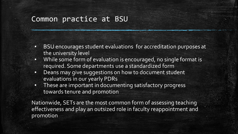#### Common practice at BSU

- BSU encourages student evaluations for accreditation purposes at the university level
- **While some form of evaluation is encouraged, no single format is** required. Some departments use a standardized form
- **Deans may give suggestions on how to document student** evaluations in our yearly PDRs
- These are important in documenting satisfactory progress towards tenure and promotion

Nationwide, SETs are the most common form of assessing teaching effectiveness and play an outsized role in faculty reappointment and promotion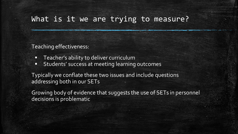#### What is it we are trying to measure?

Teaching effectiveness:

- Teacher's ability to deliver curriculum
- **EXECTE Students' success at meeting learning outcomes**

Typically we conflate these two issues and include questions addressing both in our SETs

Growing body of evidence that suggests the use of SETs in personnel decisions is problematic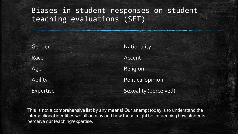# Biases in student responses on student teaching evaluations (SET)

Gender Race Age Ability Expertise **Nationality** Accent Religion Political opinion Sexuality (perceived)

This is not a comprehensive list by any means! Our attempt today is to understand the intersectional identities we all occupy and how these might be influencing how students perceive our teaching/expertise.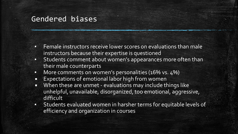#### Gendered biases

- Female instructors receive lower scores on evaluations than male instructors because their expertise is questioned
- **Students comment about women's appearances more often than** their male counterparts
- **•** More comments on women's personalities (16% vs. 4%)
- Expectations of emotional labor high from women
- **■** When these are unmet evaluations may include things like unhelpful, unavailable, disorganized, too emotional, aggressive, difficult
- Students evaluated women in harsher terms for equitable levels of efficiency and organization in courses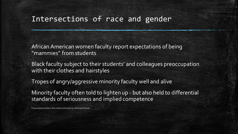#### Intersections of race and gender

African American women faculty report expectations of being "mammies" from students

Black faculty subject to their students' and colleagues preoccupation with their clothes and hairstyles

Tropes of angry/aggressive minority faculty well and alive

Minority faculty often told to lighten up - but also held to differential standards of seriousness and implied competence

Presumed Incompetent (Eds.) Harris and Guiterrez y Muhs and Nieman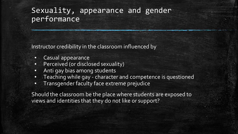# Sexuality, appearance and gender performance

Instructor credibility in the classroom influenced by

- Casual appearance
- Perceived (or disclosed sexuality)
- Anti gay bias among students
- Teaching while gay character and competence is questioned
- Transgender faculty face extreme prejudice

Should the classroom be the place where students are exposed to views and identities that they do not like or support?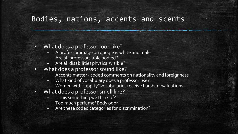#### Bodies, nations, accents and scents

- What does a professor look like?
	- A professor image on google is white and male
	- Are all professors able bodied?
	- Are all disabilities physical/visible?
- What does a professor sound like?
	- Accents matter coded comments on nationality and foreignness
	- What kind of vocabulary does a professor use?
	- Women with "uppity" vocabularies receive harsher evaluations
- What does a professor smell like?
	- Is this something we think of?
	- Too much perfume/ Body odor
	- Are these coded categories for discrimination?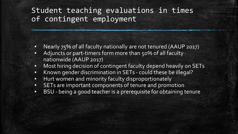# Student teaching evaluations in times of contingent employment

- Nearly 75% of all faculty nationally are not tenured (AAUP 2017)
- Adjuncts or part-timers form more than 50% of all faculty nationwide (AAUP 2017)
- **Most hiring decision of contingent faculty depend heavily on SETs**
- Known gender discrimination in SETs could these be illegal?
- Hurt women and minority faculty disproportionately
- SETs are important components of tenure and promotion
- BSU being a good teacher is a prerequisite for obtaining tenure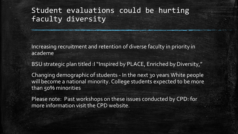# Student evaluations could be hurting faculty diversity

Increasing recruitment and retention of diverse faculty in priority in academe

BSU strategic plan titled :I "Inspired by PLACE, Enriched by Diversity,"

Changing demographic of students - In the next 30 years White people will become a national minority. College students expected to be more than 50% minorities

Please note: Past workshops on these issues conducted by CPD: for more information visit the CPD website.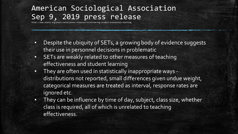# American Sociological Association Sep 9, 2019 press release

https://www.asanet.org/press-center/press-releases/reconsidering-student-evaluations-teaching

- Despite the ubiquity of SETs, a growing body of evidence suggests their use in personnel decisions in problematic
- **EXECTS** are weakly related to other measures of teaching effectiveness and student learning
- They are often used in statistically inappropriate ways distributions not reported, small differences given undue weight, categorical measures are treated as interval, response rates are ignored etc.
- **•** They can be influence by time of day, subject, class size, whether class is required, all of which is unrelated to teaching effectiveness.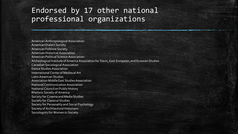## Endorsed by 17 other national professional organizations

American Anthropological Association American Dialect Society American Folklore Society American Historical Association American Political Science Association Archeological Institute of America Association for Slavic, East European, and Eurasian Studies Canadian Sociological Association Dance Studies Association International Center of Medieval Art Latin American Studies Association Middle East Studies Association National Communication Association National Council on Public History Rhetoric Society of America Society for Cinema and Media Studies Society for Classical Studies Society for Personality and Social Psychology Society of Architectural Historians Sociologists for Women in Society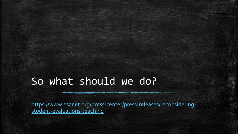# So what should we do?

[https://www.asanet.org/press-center/press-releases/reconsidering](https://www.asanet.org/press-center/press-releases/reconsidering-student-evaluations-teaching)student-evaluations-teaching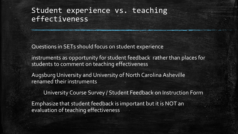# Student experience vs. teaching effectiveness

Questions in SETs should focus on student experience

instruments as opportunity for student feedback rather than places for students to comment on teaching effectiveness

Augsburg University and University of North Carolina Asheville renamed their instruments

University Course Survey / Student Feedback on Instruction Form

Emphasize that student feedback is important but it is NOT an evaluation of teaching effectiveness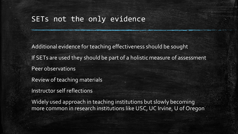#### SETs not the only evidence

Additional evidence for teaching effectiveness should be sought If SETs are used they should be part of a holistic measure of assessment Peer observations Review of teaching materials

Instructor self reflections

Widely used approach in teaching institutions but slowly becoming more common in research institutions like USC, UC Irvine, U of Oregon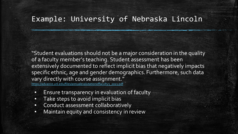#### Example: University of Nebraska Lincoln

"Student evaluations should not be a major consideration in the quality of a faculty member's teaching. Student assessment has been extensively documented to reflect implicit bias that negatively impacts specific ethnic, age and gender demographics. Furthermore, such data vary directly with course assignment." [https://advance.unl.edu/files/annualevalutationoffaculty3\\_2013.pdf](https://advance.unl.edu/files/annualevalutationoffaculty3_2013.pdf)

- **Ensure transparency in evaluation of faculty**
- **•** Take steps to avoid implicit bias
- Conduct assessment collaboratively
- **•** Maintain equity and consistency in review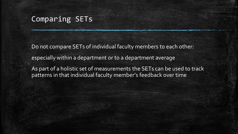#### Comparing SETs

Do not compare SETs of individual faculty members to each other: especially within a department or to a department average As part of a holistic set of measurements the SETs can be used to track patterns in that individual faculty member's feedback over time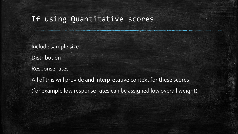#### If using Quantitative scores

Include sample size Distribution Response rates All of this will provide and interpretative context for these scores (for example low response rates can be assigned low overall weight)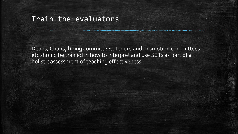#### Train the evaluators

Deans, Chairs, hiring committees, tenure and promotion committees etc should be trained in how to interpret and use SETs as part of a holistic assessment of teaching effectiveness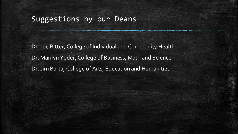### Suggestions by our Deans

Dr. Joe Ritter, College of Individual and Community Health Dr. Marilyn Yoder, College of Business, Math and Science Dr. Jim Barta, College of Arts, Education and Humanities